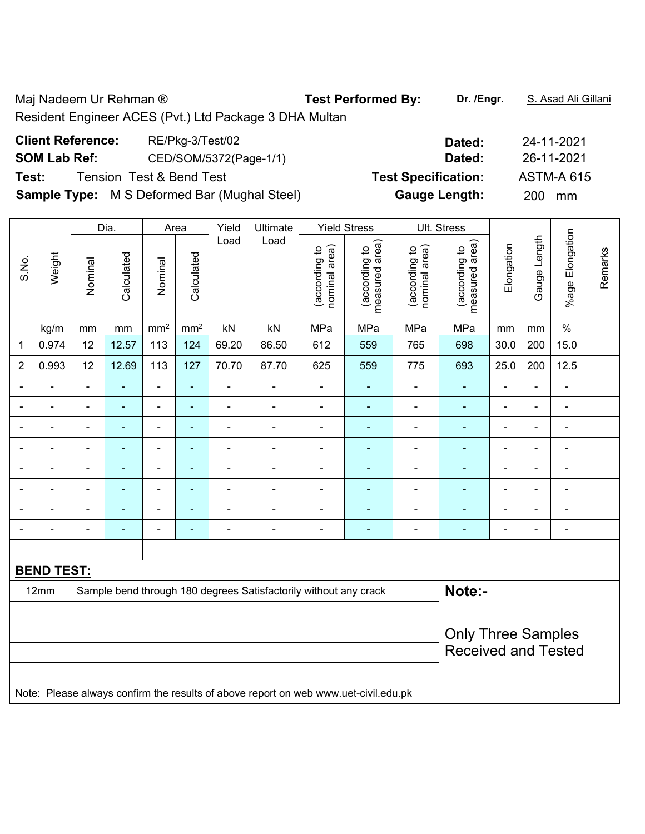Maj Nadeem Ur Rehman ® **Test Performed By:** Dr. /Engr. **S. Asad Ali Gillani** Resident Engineer ACES (Pvt.) Ltd Package 3 DHA Multan

| <b>Client Reference:</b> | RE/Pkg-3/Test/02                                    | Dated:                     | 24-11-2021       |
|--------------------------|-----------------------------------------------------|----------------------------|------------------|
| <b>SOM Lab Ref:</b>      | CED/SOM/5372(Page-1/1)                              | Dated:                     | 26-11-2021       |
| Test:                    | <b>Tension Test &amp; Bend Test</b>                 | <b>Test Specification:</b> | ASTM-A 615       |
|                          | <b>Sample Type:</b> M S Deformed Bar (Mughal Steel) | <b>Gauge Length:</b>       | <b>200</b><br>mm |

|                |                                                                                     |                           | Dia.           | Area            |                 | Yield | Ultimate                                                         |                                | <b>Yield Stress</b>             |                                | Ult. Stress                     |                |                |                              |         |
|----------------|-------------------------------------------------------------------------------------|---------------------------|----------------|-----------------|-----------------|-------|------------------------------------------------------------------|--------------------------------|---------------------------------|--------------------------------|---------------------------------|----------------|----------------|------------------------------|---------|
| S.No.          | Weight                                                                              | Nominal                   | Calculated     | Nominal         | Calculated      | Load  | Load                                                             | nominal area)<br>(according to | measured area)<br>(according to | nominal area)<br>(according to | measured area)<br>(according to | Elongation     | Gauge Length   | %age Elongation              | Remarks |
|                | kg/m                                                                                | mm                        | mm             | mm <sup>2</sup> | mm <sup>2</sup> | kN    | kN                                                               | MPa                            | MPa                             | MPa                            | MPa                             | mm             | mm             | $\%$                         |         |
| 1              | 0.974                                                                               | 12                        | 12.57          | 113             | 124             | 69.20 | 86.50                                                            | 612                            | 559                             | 765                            | 698                             | 30.0           | 200            | 15.0                         |         |
| $\overline{2}$ | 0.993                                                                               | 12                        | 12.69          | 113             | 127             | 70.70 | 87.70                                                            | 625                            | 559                             | 775                            | 693                             | 25.0           | 200            | 12.5                         |         |
|                | ÷,                                                                                  | $\blacksquare$            | ä,             | $\blacksquare$  | ä,              | ÷     | ÷                                                                | $\blacksquare$                 | ÷,                              | $\blacksquare$                 | $\blacksquare$                  | ÷,             | $\blacksquare$ | $\blacksquare$               |         |
|                | $\blacksquare$                                                                      | $\blacksquare$            | $\blacksquare$ | $\blacksquare$  | ä,              | ÷     | $\blacksquare$                                                   | $\blacksquare$                 | ÷,                              | $\overline{\phantom{a}}$       | $\blacksquare$                  | $\blacksquare$ | $\blacksquare$ | $\qquad \qquad \blacksquare$ |         |
|                | $\blacksquare$                                                                      |                           | $\blacksquare$ | $\overline{a}$  | ä,              | L,    | $\blacksquare$                                                   | ä,                             | $\blacksquare$                  | $\blacksquare$                 | $\blacksquare$                  |                | $\blacksquare$ | $\blacksquare$               |         |
|                |                                                                                     |                           | $\blacksquare$ | ÷               | ä,              | -     | Ē,                                                               | ä,                             |                                 | ÷                              | Ē,                              |                | $\blacksquare$ | $\blacksquare$               |         |
| $\blacksquare$ | $\blacksquare$                                                                      | $\blacksquare$            | $\blacksquare$ | $\blacksquare$  | ÷,              | ä,    | ä,                                                               | $\blacksquare$                 | $\blacksquare$                  | ÷                              | Ē,                              | $\blacksquare$ | $\blacksquare$ | $\overline{\phantom{a}}$     |         |
|                | ä,                                                                                  | $\blacksquare$            | $\blacksquare$ | ÷,              | ÷,              | ä,    | ÷,                                                               | $\blacksquare$                 | ä,                              | $\overline{\phantom{a}}$       | $\blacksquare$                  | $\blacksquare$ | $\blacksquare$ | $\blacksquare$               |         |
|                | $\blacksquare$                                                                      | $\blacksquare$            | ÷              | $\blacksquare$  | ÷,              | ä,    | $\blacksquare$                                                   | $\blacksquare$                 | ÷                               | $\overline{a}$                 | $\blacksquare$                  | $\blacksquare$ | $\blacksquare$ | $\overline{\phantom{a}}$     |         |
| $\blacksquare$ | $\blacksquare$                                                                      | $\blacksquare$            | $\blacksquare$ | $\blacksquare$  | ۰               | ÷     | $\overline{\phantom{a}}$                                         | $\blacksquare$                 | $\blacksquare$                  | $\overline{\phantom{a}}$       | $\blacksquare$                  | $\blacksquare$ | $\blacksquare$ | $\qquad \qquad \blacksquare$ |         |
|                |                                                                                     |                           |                |                 |                 |       |                                                                  |                                |                                 |                                |                                 |                |                |                              |         |
|                | <b>BEND TEST:</b>                                                                   |                           |                |                 |                 |       |                                                                  |                                |                                 |                                |                                 |                |                |                              |         |
|                | 12mm                                                                                |                           |                |                 |                 |       | Sample bend through 180 degrees Satisfactorily without any crack |                                |                                 |                                | Note:-                          |                |                |                              |         |
|                |                                                                                     |                           |                |                 |                 |       |                                                                  |                                |                                 |                                |                                 |                |                |                              |         |
|                |                                                                                     | <b>Only Three Samples</b> |                |                 |                 |       |                                                                  |                                |                                 |                                |                                 |                |                |                              |         |
|                |                                                                                     |                           |                |                 |                 |       |                                                                  |                                |                                 |                                | <b>Received and Tested</b>      |                |                |                              |         |
|                |                                                                                     |                           |                |                 |                 |       |                                                                  |                                |                                 |                                |                                 |                |                |                              |         |
|                | Note: Please always confirm the results of above report on web www.uet-civil.edu.pk |                           |                |                 |                 |       |                                                                  |                                |                                 |                                |                                 |                |                |                              |         |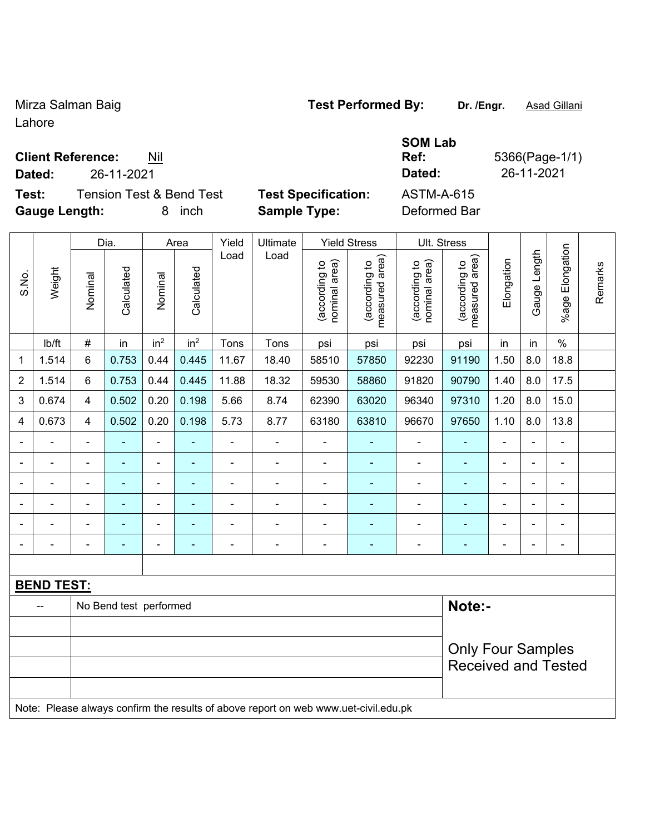### Mirza Salman Baig **Test Performed By:** Dr. /Engr. **Asad Gillani**

**Ref:** 5366(Page-1/1)

Received and Tested

Lahore

#### **Client Reference:** Nil

**Dated:** 26-11-2021 **Dated:** 26-11-2021

**Test:** Tension Test & Bend Test **Test Specification:** ASTM-A-615 **Gauge Length:** 8 inch **Sample Type:** Deformed Bar

**SOM Lab** 

|                         |                   |                          | Dia.                   |                              | Area            | Yield                        | Ultimate       |                                | <b>Yield Stress</b>             | Ult. Stress                    |                                 |                          |                |                 |         |
|-------------------------|-------------------|--------------------------|------------------------|------------------------------|-----------------|------------------------------|----------------|--------------------------------|---------------------------------|--------------------------------|---------------------------------|--------------------------|----------------|-----------------|---------|
| S.No.                   | Weight            | Nominal                  | Calculated             | Nominal                      | Calculated      | Load                         | Load           | nominal area)<br>(according to | measured area)<br>(according to | (according to<br>nominal area) | measured area)<br>(according to | Elongation               | Gauge Length   | %age Elongation | Remarks |
|                         | Ib/ft             | $\#$                     | in                     | in <sup>2</sup>              | in <sup>2</sup> | Tons                         | Tons           | psi                            | psi                             | psi                            | psi                             | in                       | in             | $\%$            |         |
| $\mathbf{1}$            | 1.514             | 6                        | 0.753                  | 0.44                         | 0.445           | 11.67                        | 18.40          | 58510                          | 57850                           | 92230                          | 91190                           | 1.50                     | 8.0            | 18.8            |         |
| $\sqrt{2}$              | 1.514             | 6                        | 0.753                  | 0.44                         | 0.445           | 11.88                        | 18.32          | 59530                          | 58860                           | 91820                          | 90790                           | 1.40                     | 8.0            | 17.5            |         |
| $\sqrt{3}$              | 0.674             | 4                        | 0.502                  | 0.20                         | 0.198           | 5.66                         | 8.74           | 62390                          | 63020                           | 96340                          | 97310                           | 1.20                     | 8.0            | 15.0            |         |
| $\overline{\mathbf{4}}$ | 0.673             | 4                        | 0.502                  | 0.20                         | 0.198           | 5.73                         | 8.77           | 63180                          | 63810                           | 96670                          | 97650                           | 1.10                     | 8.0            | 13.8            |         |
| $\blacksquare$          |                   | $\blacksquare$           | ٠                      | $\blacksquare$               | ٠               | $\qquad \qquad \blacksquare$ | ÷              | $\blacksquare$                 | ۰                               | ÷,                             |                                 | $\blacksquare$           | $\frac{1}{2}$  | $\blacksquare$  |         |
|                         |                   | $\blacksquare$           | $\blacksquare$         | $\qquad \qquad \blacksquare$ |                 |                              | $\blacksquare$ | $\blacksquare$                 | ۰                               | ÷                              |                                 | $\blacksquare$           |                | $\blacksquare$  |         |
|                         |                   | $\overline{\phantom{0}}$ | ۰                      | $\overline{\phantom{a}}$     | ۰               | $\overline{a}$               | $\blacksquare$ | $\overline{\phantom{0}}$       | ۰                               | ÷                              |                                 | $\overline{a}$           | ÷              | $\overline{a}$  |         |
|                         |                   | $\blacksquare$           | ۰                      | $\overline{\phantom{a}}$     |                 |                              |                | $\overline{\phantom{0}}$       | ۰                               | $\overline{a}$                 |                                 | $\blacksquare$           | $\blacksquare$ | $\blacksquare$  |         |
|                         |                   | $\blacksquare$           | ۰                      | $\overline{\phantom{a}}$     | ۰               | $\blacksquare$               | $\blacksquare$ | $\overline{\phantom{0}}$       | ۰                               | $\overline{a}$                 |                                 | $\overline{\phantom{0}}$ | $\blacksquare$ | $\overline{a}$  |         |
|                         |                   | $\blacksquare$           |                        | $\overline{\phantom{a}}$     | ۰               | $\blacksquare$               | $\blacksquare$ | $\overline{\phantom{0}}$       | ۰                               | ÷                              |                                 | $\blacksquare$           | $\blacksquare$ | $\blacksquare$  |         |
|                         |                   |                          |                        |                              |                 |                              |                |                                |                                 |                                |                                 |                          |                |                 |         |
|                         | <b>BEND TEST:</b> |                          |                        |                              |                 |                              |                |                                |                                 |                                |                                 |                          |                |                 |         |
|                         |                   |                          | No Bend test performed |                              |                 |                              |                |                                |                                 |                                | Note:-                          |                          |                |                 |         |
|                         |                   |                          |                        |                              |                 |                              |                |                                |                                 |                                |                                 | <b>Only Four Samples</b> |                |                 |         |

Note: Please always confirm the results of above report on web www.uet-civil.edu.pk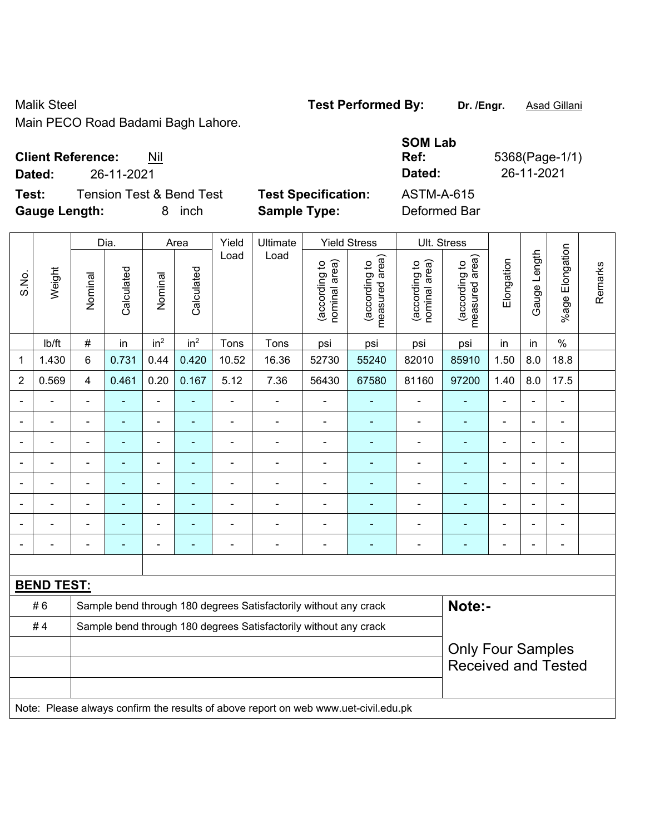### Malik Steel **Test Performed By:** Dr. /Engr. **Asad Gillani**

Main PECO Road Badami Bagh Lahore.

# **Client Reference:** Nil

**Dated:** 26-11-2021 **Dated:** 26-11-2021

**Test:** Tension Test & Bend Test **Test Specification: Gauge Length:** 8 inch **Sample Type:** Deformed Bar

| <b>SOM Lab</b>    |                |
|-------------------|----------------|
| Ref:              | 5368(Page-1/1) |
| Dated:            | 26-11-2021     |
| <b>ASTM-A-615</b> |                |
|                   |                |

|                |                   |                          | Dia.           |                              | Area                                                              | Yield          | Ultimate                                                                            | <b>Yield Stress</b>            |                                 |                                | Ult. Stress                     |                |                |                          |         |
|----------------|-------------------|--------------------------|----------------|------------------------------|-------------------------------------------------------------------|----------------|-------------------------------------------------------------------------------------|--------------------------------|---------------------------------|--------------------------------|---------------------------------|----------------|----------------|--------------------------|---------|
| S.No.          | Weight            | Nominal                  | Calculated     | Nominal                      | Calculated                                                        | Load           | Load                                                                                | nominal area)<br>(according to | (according to<br>measured area) | (according to<br>nominal area) | measured area)<br>(according to | Elongation     | Gauge Length   | %age Elongation          | Remarks |
|                | lb/ft             | $\#$                     | in             | in <sup>2</sup>              | in <sup>2</sup>                                                   | Tons           | Tons                                                                                | psi                            | psi                             | psi                            | psi                             | in             | in             | $\%$                     |         |
| 1              | 1.430             | 6                        | 0.731          | 0.44                         | 0.420                                                             | 10.52          | 16.36                                                                               | 52730                          | 55240                           | 82010                          | 85910                           | 1.50           | 8.0            | 18.8                     |         |
| $\overline{2}$ | 0.569             | $\overline{4}$           | 0.461          | 0.20                         | 0.167                                                             | 5.12           | 7.36                                                                                | 56430                          | 67580                           | 81160                          | 97200                           | 1.40           | 8.0            | 17.5                     |         |
|                |                   | $\blacksquare$           |                | $\blacksquare$               |                                                                   | L,             | ä,                                                                                  | $\blacksquare$                 |                                 |                                |                                 |                |                |                          |         |
|                |                   |                          | $\blacksquare$ | $\blacksquare$               |                                                                   |                | $\blacksquare$                                                                      | $\blacksquare$                 |                                 | $\blacksquare$                 |                                 |                |                |                          |         |
| $\blacksquare$ |                   | $\blacksquare$           | $\blacksquare$ | $\blacksquare$               | ä,                                                                | $\blacksquare$ | $\blacksquare$                                                                      | $\blacksquare$                 | ٠                               | $\overline{\phantom{a}}$       | $\blacksquare$                  | Ē,             | $\blacksquare$ | $\blacksquare$           |         |
| ۰              |                   | $\overline{\phantom{0}}$ | $\blacksquare$ | $\qquad \qquad \blacksquare$ | $\blacksquare$<br>$\overline{a}$<br>$\overline{\phantom{0}}$<br>۰ |                |                                                                                     |                                |                                 |                                | $\blacksquare$                  | ٠              |                | $\blacksquare$           |         |
|                |                   | $\blacksquare$           | $\blacksquare$ | $\qquad \qquad \blacksquare$ | $\blacksquare$                                                    | $\blacksquare$ | $\blacksquare$                                                                      | $\blacksquare$                 | ٠                               | $\overline{\phantom{a}}$       | $\blacksquare$                  | $\blacksquare$ |                | $\blacksquare$           |         |
|                |                   | $\blacksquare$           | $\blacksquare$ | $\blacksquare$               | ٠                                                                 | $\blacksquare$ | $\blacksquare$                                                                      | $\blacksquare$                 | $\blacksquare$                  | $\blacksquare$                 | $\blacksquare$                  |                |                | $\overline{\phantom{a}}$ |         |
|                |                   |                          |                | L,                           |                                                                   |                |                                                                                     | $\blacksquare$                 |                                 |                                |                                 |                |                | $\blacksquare$           |         |
| $\blacksquare$ |                   |                          | $\blacksquare$ | ÷                            | ÷                                                                 | ÷              | $\blacksquare$                                                                      | $\blacksquare$                 | $\blacksquare$                  | $\overline{a}$                 | $\blacksquare$                  | L,             |                | $\blacksquare$           |         |
|                |                   |                          |                |                              |                                                                   |                |                                                                                     |                                |                                 |                                |                                 |                |                |                          |         |
|                | <b>BEND TEST:</b> |                          |                |                              |                                                                   |                |                                                                                     |                                |                                 |                                |                                 |                |                |                          |         |
|                | #6                |                          |                |                              |                                                                   |                | Sample bend through 180 degrees Satisfactorily without any crack                    |                                |                                 |                                | Note:-                          |                |                |                          |         |
|                | #4                |                          |                |                              |                                                                   |                | Sample bend through 180 degrees Satisfactorily without any crack                    |                                |                                 |                                |                                 |                |                |                          |         |
|                |                   | <b>Only Four Samples</b> |                |                              |                                                                   |                |                                                                                     |                                |                                 |                                |                                 |                |                |                          |         |
|                |                   |                          |                |                              |                                                                   |                |                                                                                     |                                |                                 |                                | <b>Received and Tested</b>      |                |                |                          |         |
|                |                   |                          |                |                              |                                                                   |                |                                                                                     |                                |                                 |                                |                                 |                |                |                          |         |
|                |                   |                          |                |                              |                                                                   |                | Note: Please always confirm the results of above report on web www.uet-civil.edu.pk |                                |                                 |                                |                                 |                |                |                          |         |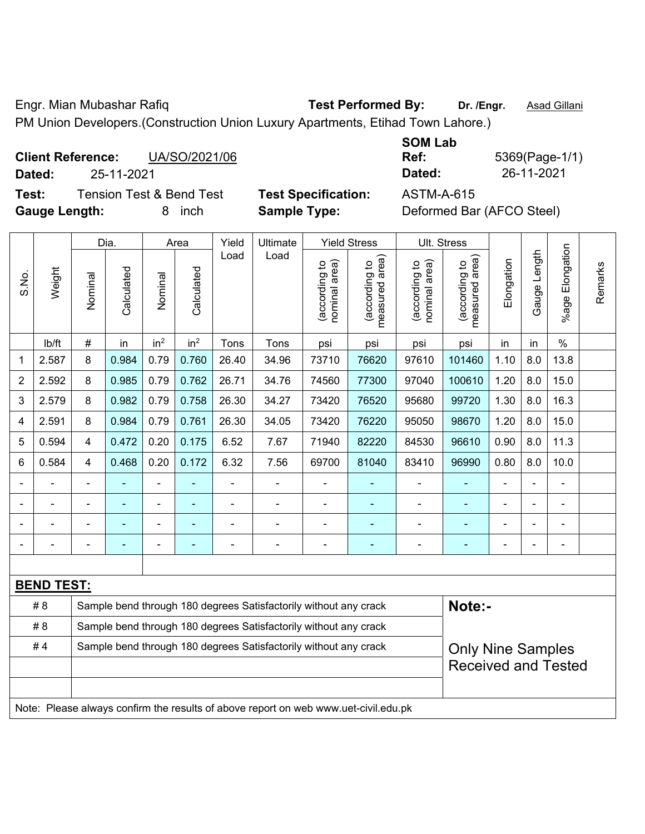Engr. Mian Mubashar Rafiq **Test Performed By:** Dr. /Engr. **Asad Gillani** PM Union Developers.(Construction Union Luxury Apartments, Etihad Town Lahore.)

|             | <b>Client Reference:</b><br>UA/SO/2021/06                                                  |                     | Ref:        | 5369(Page-1 |
|-------------|--------------------------------------------------------------------------------------------|---------------------|-------------|-------------|
| Dated:      | 25-11-2021                                                                                 |                     | Dated:      | 26-11-2021  |
| <b>TAAL</b> | $T_{\text{c}}$ and $T_{\text{c}}$ and $R_{\text{c}}$ and $T_{\text{c}}$ and $T_{\text{c}}$ | Taal Omaalfiaaliam. | ACTMA A CAF |             |

**Gauge Length:** 8 inch **Sample Type:** Deformed Bar (AFCO Steel)

| <b>SOM Lab</b> |                |
|----------------|----------------|
| Ref:           | 5369(Page-1/1) |
| Dated:         | 26-11-2021     |
|                |                |

**Test:** Tension Test & Bend Test **Test Specification:** ASTM-A-615

|       |                                                                                     |                | Dia.           |                 | Area            | Yield          | Ultimate                                                         |                                | <b>Yield Stress</b>             |                                | Ult. Stress                     |            |                |                      |         |
|-------|-------------------------------------------------------------------------------------|----------------|----------------|-----------------|-----------------|----------------|------------------------------------------------------------------|--------------------------------|---------------------------------|--------------------------------|---------------------------------|------------|----------------|----------------------|---------|
| S.No. | Weight                                                                              | Nominal        | Calculated     | Nominal         | Calculated      | Load           | Load                                                             | nominal area)<br>(according to | (according to<br>measured area) | nominal area)<br>(according to | (according to<br>measured area) | Elongation | Gauge Length   | Elongation<br>%age l | Remarks |
|       | lb/ft                                                                               | $\#$           | in             | in <sup>2</sup> | in <sup>2</sup> | Tons           | Tons                                                             | psi                            | psi                             | psi                            | psi                             | in         | in             | $\%$                 |         |
| 1     | 2.587                                                                               | 8              | 0.984          | 0.79            | 0.760           | 26.40          | 34.96                                                            | 73710                          | 76620                           | 97610                          | 101460                          | 1.10       | 8.0            | 13.8                 |         |
| 2     | 2.592                                                                               | 8              | 0.985          | 0.79            | 0.762           | 26.71          | 34.76                                                            | 74560                          | 77300                           | 97040                          | 100610                          | 1.20       | 8.0            | 15.0                 |         |
| 3     | 2.579                                                                               | 8              | 0.982          | 0.79            | 0.758           | 26.30          | 34.27                                                            | 73420                          | 76520                           | 95680                          | 99720                           | 1.30       | 8.0            | 16.3                 |         |
| 4     | 2.591                                                                               | 8              | 0.984          | 0.79            | 0.761           | 26.30          | 34.05                                                            | 73420                          | 76220                           | 95050                          | 98670                           | 1.20       | 8.0            | 15.0                 |         |
| 5     | 0.594                                                                               | 4              | 0.472          | 0.20            | 0.175           | 6.52           | 7.67                                                             | 71940                          | 82220                           | 84530                          | 96610                           | 0.90       | 8.0            | 11.3                 |         |
| 6     | 0.584                                                                               | 4              | 0.468          | 0.20            | 0.172           | 6.32           | 7.56                                                             | 69700                          | 81040                           | 83410                          | 96990                           | 0.80       | 8.0            | 10.0                 |         |
|       | $\blacksquare$                                                                      | $\blacksquare$ | $\blacksquare$ | ÷,              |                 | $\blacksquare$ | ÷,                                                               | $\blacksquare$                 |                                 | ÷                              | $\blacksquare$                  | ÷          | $\blacksquare$ | ÷,                   |         |
|       | $\blacksquare$                                                                      |                | $\blacksquare$ |                 | ÷,              |                | $\blacksquare$                                                   |                                |                                 |                                | $\blacksquare$                  |            |                | $\blacksquare$       |         |
|       |                                                                                     |                |                |                 |                 |                | $\blacksquare$                                                   |                                |                                 |                                |                                 |            |                | L.                   |         |
|       |                                                                                     |                |                |                 |                 |                |                                                                  |                                |                                 |                                |                                 |            |                | Ē,                   |         |
|       |                                                                                     |                |                |                 |                 |                |                                                                  |                                |                                 |                                |                                 |            |                |                      |         |
|       | <b>BEND TEST:</b>                                                                   |                |                |                 |                 |                |                                                                  |                                |                                 |                                |                                 |            |                |                      |         |
|       | # 8                                                                                 |                |                |                 |                 |                | Sample bend through 180 degrees Satisfactorily without any crack |                                |                                 |                                | Note:-                          |            |                |                      |         |
|       | # 8                                                                                 |                |                |                 |                 |                | Sample bend through 180 degrees Satisfactorily without any crack |                                |                                 |                                |                                 |            |                |                      |         |
|       | #4                                                                                  |                |                |                 |                 |                | Sample bend through 180 degrees Satisfactorily without any crack |                                |                                 |                                | <b>Only Nine Samples</b>        |            |                |                      |         |
|       |                                                                                     |                |                |                 |                 |                |                                                                  |                                |                                 |                                | <b>Received and Tested</b>      |            |                |                      |         |
|       | Note: Please always confirm the results of above report on web www.uet-civil.edu.pk |                |                |                 |                 |                |                                                                  |                                |                                 |                                |                                 |            |                |                      |         |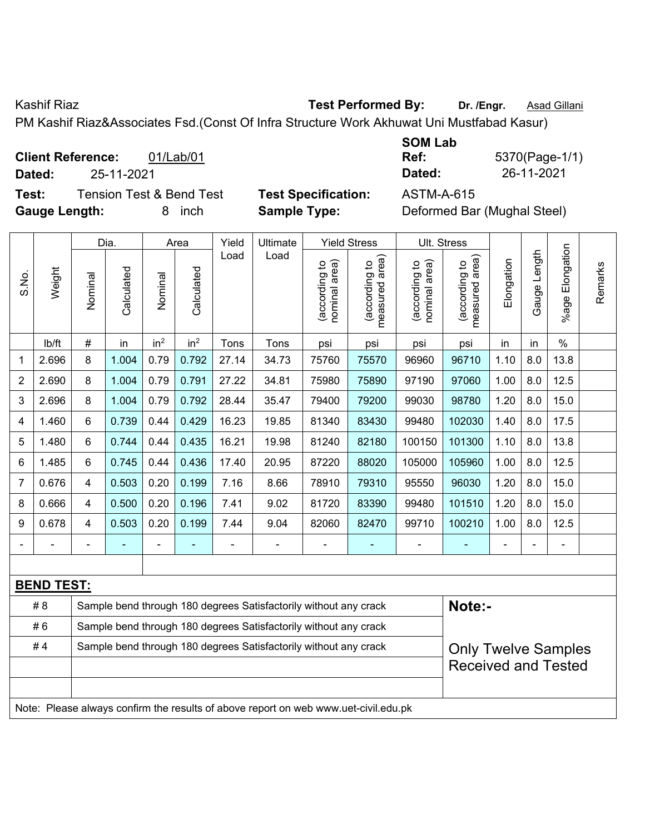Kashif Riaz **Test Performed By:** Dr. /Engr. **Asad Gillani** Cashif Riaz **Asad Gillani** 

PM Kashif Riaz&Associates Fsd.(Const Of Infra Structure Work Akhuwat Uni Mustfabad Kasur)

**Client Reference:** 01/Lab/01 **Dated:** 25-11-2021 **Dated:** 26-11-2021 **Test:** Tension Test & Bend Test **Test Specification:** ASTM-A-615

**Gauge Length:** 8 inch **Sample Type:** Deformed Bar (Mughal Steel)

| <b>SOM Lab</b> |                |
|----------------|----------------|
| Ref:           | 5370(Page-1/1) |
| Dated:         | 26-11-2021     |

|                |                                                                                     | Dia.<br>Area   |            |                 | Yield           | Ultimate |                                                                  | <b>Yield Stress</b>            |                                 | Ult. Stress                    |                                 |            |              |                       |         |
|----------------|-------------------------------------------------------------------------------------|----------------|------------|-----------------|-----------------|----------|------------------------------------------------------------------|--------------------------------|---------------------------------|--------------------------------|---------------------------------|------------|--------------|-----------------------|---------|
| S.No.          | Weight                                                                              | Nominal        | Calculated | Nominal         | Calculated      | Load     | Load                                                             | nominal area)<br>(according to | (according to<br>measured area) | nominal area)<br>(according to | (according to<br>measured area) | Elongation | Gauge Length | Elongation<br>$%$ age | Remarks |
|                | lb/ft                                                                               | $\#$           | in         | in <sup>2</sup> | in <sup>2</sup> | Tons     | Tons                                                             | psi                            | psi                             | psi                            | psi                             | in         | in           | $\%$                  |         |
| 1              | 2.696                                                                               | 8              | 1.004      | 0.79            | 0.792           | 27.14    | 34.73                                                            | 75760                          | 75570                           | 96960                          | 96710                           | 1.10       | 8.0          | 13.8                  |         |
| $\overline{2}$ | 2.690                                                                               | 8              | 1.004      | 0.79            | 0.791           | 27.22    | 34.81                                                            | 75980                          | 75890                           | 97190                          | 97060                           | 1.00       | 8.0          | 12.5                  |         |
| 3              | 2.696                                                                               | 8              | 1.004      | 0.79            | 0.792           | 28.44    | 35.47                                                            | 79400                          | 79200                           | 99030                          | 98780                           | 1.20       | 8.0          | 15.0                  |         |
| 4              | 1.460                                                                               | 6              | 0.739      | 0.44            | 0.429           | 16.23    | 19.85                                                            | 81340                          | 83430                           | 99480                          | 102030                          | 1.40       | 8.0          | 17.5                  |         |
| 5              | 1.480                                                                               | 6              | 0.744      | 0.44            | 0.435           | 16.21    | 19.98                                                            | 81240                          | 82180                           | 100150                         | 101300                          | 1.10       | 8.0          | 13.8                  |         |
| 6              | 1.485                                                                               | 6              | 0.745      | 0.44            | 0.436           | 17.40    | 20.95                                                            | 87220                          | 88020                           | 105000                         | 105960                          | 1.00       | 8.0          | 12.5                  |         |
| $\overline{7}$ | 0.676                                                                               | $\overline{4}$ | 0.503      | 0.20            | 0.199           | 7.16     | 8.66                                                             | 78910                          | 79310                           | 95550                          | 96030                           | 1.20       | 8.0          | 15.0                  |         |
| 8              | 0.666                                                                               | $\overline{4}$ | 0.500      | 0.20            | 0.196           | 7.41     | 9.02                                                             | 81720                          | 83390                           | 99480                          | 101510                          | 1.20       | 8.0          | 15.0                  |         |
| 9              | 0.678                                                                               | $\overline{4}$ | 0.503      | 0.20            | 0.199           | 7.44     | 9.04                                                             | 82060                          | 82470                           | 99710                          | 100210                          | 1.00       | 8.0          | 12.5                  |         |
|                |                                                                                     |                |            |                 |                 |          |                                                                  |                                |                                 |                                |                                 |            |              | $\blacksquare$        |         |
|                |                                                                                     |                |            |                 |                 |          |                                                                  |                                |                                 |                                |                                 |            |              |                       |         |
|                | <b>BEND TEST:</b>                                                                   |                |            |                 |                 |          |                                                                  |                                |                                 |                                |                                 |            |              |                       |         |
|                | # 8                                                                                 |                |            |                 |                 |          | Sample bend through 180 degrees Satisfactorily without any crack |                                |                                 |                                | Note:-                          |            |              |                       |         |
|                | #6                                                                                  |                |            |                 |                 |          | Sample bend through 180 degrees Satisfactorily without any crack |                                |                                 |                                |                                 |            |              |                       |         |
|                | #4                                                                                  |                |            |                 |                 |          | Sample bend through 180 degrees Satisfactorily without any crack |                                |                                 |                                | <b>Only Twelve Samples</b>      |            |              |                       |         |
|                |                                                                                     |                |            |                 |                 |          |                                                                  |                                |                                 |                                | <b>Received and Tested</b>      |            |              |                       |         |
|                |                                                                                     |                |            |                 |                 |          |                                                                  |                                |                                 |                                |                                 |            |              |                       |         |
|                | Note: Please always confirm the results of above report on web www.uet-civil.edu.pk |                |            |                 |                 |          |                                                                  |                                |                                 |                                |                                 |            |              |                       |         |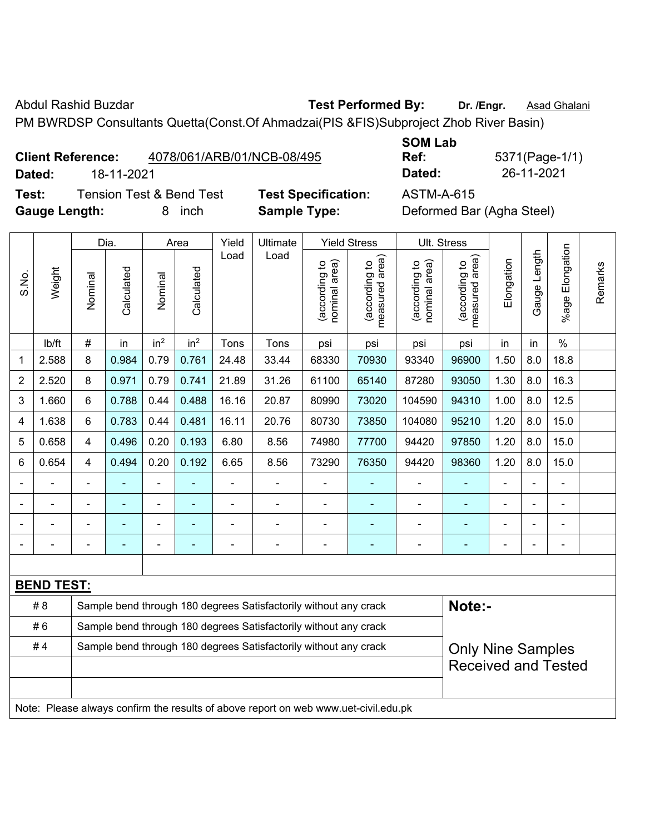Abdul Rashid Buzdar **Test Performed By:** Dr. /Engr. **Asad Ghalani** 

PM BWRDSP Consultants Quetta(Const.Of Ahmadzai(PIS &FIS)Subproject Zhob River Basin)

# **Client Reference:** 4078/061/ARB/01/NCB-08/495

**SOM Lab Ref:** 5371(Page-1/1) **Dated:** 18-11-2021 **Dated:** 26-11-2021

**Test:** Tension Test & Bend Test **Test Specification:** ASTM-A-615 **Gauge Length:** 8 inch **Sample Type:** Deformed Bar (Agha Steel)

|                |                   |                                                                                              | Dia.                     |                 | Area            | Yield | Ultimate                                                                            |                                | <b>Yield Stress</b>                         | Ult. Stress                    |                                 |            |              |                          |         |
|----------------|-------------------|----------------------------------------------------------------------------------------------|--------------------------|-----------------|-----------------|-------|-------------------------------------------------------------------------------------|--------------------------------|---------------------------------------------|--------------------------------|---------------------------------|------------|--------------|--------------------------|---------|
| S.No.          | Weight            | Nominal                                                                                      | Calculated               | Nominal         | Calculated      | Load  | Load                                                                                | nominal area)<br>(according to | (according to<br>neasured area)<br>measured | (according to<br>nominal area) | (according to<br>measured area) | Elongation | Gauge Length | Elongation<br>$%$ age    | Remarks |
|                | lb/ft             | #                                                                                            | in                       | in <sup>2</sup> | in <sup>2</sup> | Tons  | Tons                                                                                | psi                            | psi                                         | psi                            | psi                             | in         | in           | $\frac{0}{0}$            |         |
| $\mathbf 1$    | 2.588             | 8                                                                                            | 0.984                    | 0.79            | 0.761           | 24.48 | 33.44                                                                               | 68330                          | 70930                                       | 93340                          | 96900                           | 1.50       | 8.0          | 18.8                     |         |
| $\overline{2}$ | 2.520             | 8                                                                                            | 0.971                    | 0.79            | 0.741           | 21.89 | 31.26                                                                               | 61100                          | 65140                                       | 87280                          | 93050                           | 1.30       | 8.0          | 16.3                     |         |
| 3              | 1.660             | 6                                                                                            | 0.788                    | 0.44            | 0.488           | 16.16 | 20.87                                                                               | 80990                          | 73020                                       | 104590                         | 94310                           | 1.00       | 8.0          | 12.5                     |         |
| 4              | 1.638             | 6                                                                                            | 0.783                    | 0.44            | 0.481           | 16.11 | 20.76                                                                               | 80730                          | 73850                                       | 104080                         | 95210                           | 1.20       | 8.0          | 15.0                     |         |
| 5              | 0.658             | 4                                                                                            | 0.496                    | 0.20            | 0.193           | 6.80  | 8.56                                                                                | 74980                          | 77700                                       | 94420                          | 97850                           | 1.20       | 8.0          | 15.0                     |         |
| 6              | 0.654             | 4                                                                                            | 0.494                    | 0.20            | 0.192           | 6.65  | 8.56                                                                                | 73290                          | 76350                                       | 94420                          | 98360                           | 1.20       | 8.0          | 15.0                     |         |
|                |                   | $\blacksquare$                                                                               | ä,                       | ä,              |                 | ä,    | ä,                                                                                  | L,                             | ۰                                           | ÷,                             | ÷,                              | L.         |              | ä,                       |         |
|                |                   |                                                                                              |                          | $\blacksquare$  |                 |       | $\blacksquare$                                                                      |                                |                                             |                                |                                 |            |              | $\blacksquare$           |         |
|                |                   |                                                                                              |                          |                 |                 |       |                                                                                     |                                |                                             |                                |                                 |            |              |                          |         |
|                |                   |                                                                                              | $\overline{\phantom{0}}$ |                 | $\overline{a}$  |       | ÷                                                                                   | $\blacksquare$                 | ۰                                           | $\blacksquare$                 | $\blacksquare$                  |            |              | $\overline{\phantom{a}}$ |         |
|                |                   |                                                                                              |                          |                 |                 |       |                                                                                     |                                |                                             |                                |                                 |            |              |                          |         |
|                | <b>BEND TEST:</b> |                                                                                              |                          |                 |                 |       |                                                                                     |                                |                                             |                                |                                 |            |              |                          |         |
|                | # 8               |                                                                                              |                          |                 |                 |       | Sample bend through 180 degrees Satisfactorily without any crack                    |                                |                                             |                                | Note:-                          |            |              |                          |         |
|                | #6                |                                                                                              |                          |                 |                 |       | Sample bend through 180 degrees Satisfactorily without any crack                    |                                |                                             |                                |                                 |            |              |                          |         |
|                | #4                | Sample bend through 180 degrees Satisfactorily without any crack<br><b>Only Nine Samples</b> |                          |                 |                 |       |                                                                                     |                                |                                             |                                |                                 |            |              |                          |         |
|                |                   | <b>Received and Tested</b>                                                                   |                          |                 |                 |       |                                                                                     |                                |                                             |                                |                                 |            |              |                          |         |
|                |                   |                                                                                              |                          |                 |                 |       |                                                                                     |                                |                                             |                                |                                 |            |              |                          |         |
|                |                   |                                                                                              |                          |                 |                 |       | Note: Please always confirm the results of above report on web www.uet-civil.edu.pk |                                |                                             |                                |                                 |            |              |                          |         |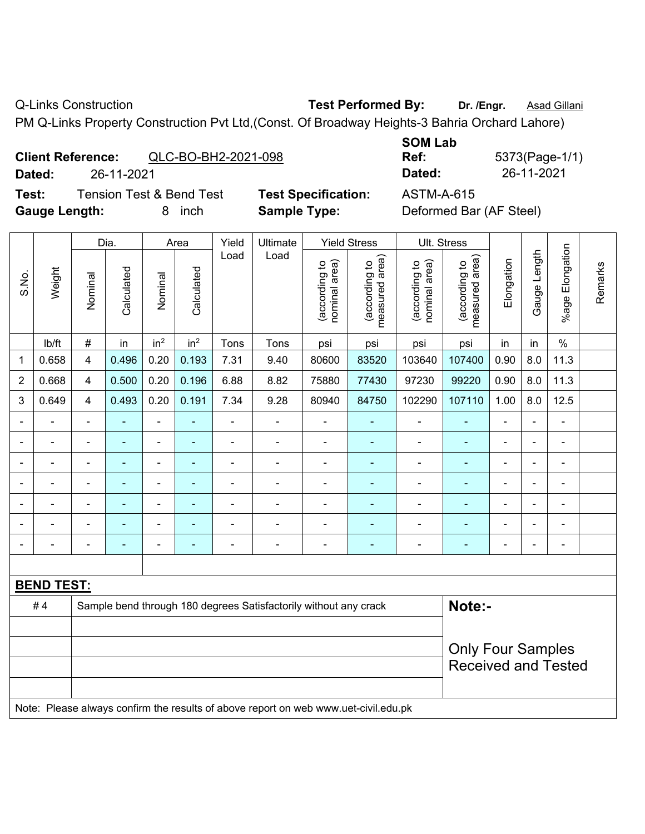$\overline{\phantom{a}}$ 

 $\overline{\phantom{a}}$ 

Q-Links Construction **Test Performed By:** Dr. /Engr. **Asad Gillani** 

PM Q-Links Property Construction Pvt Ltd,(Const. Of Broadway Heights-3 Bahria Orchard Lahore)

|        | <b>Client Reference:</b><br>QLC-BO-BH2-2021-098 |                            | <b>SUM LAD</b><br>Ref: | 5373(Page-1/ |
|--------|-------------------------------------------------|----------------------------|------------------------|--------------|
| Dated: | 26-11-2021                                      |                            | Dated:                 | 26-11-2021   |
| Test:  | <b>Tension Test &amp; Bend Test</b>             | <b>Test Specification:</b> | ASTM-A-615             |              |

| <b>SOM Lab</b> |                |
|----------------|----------------|
| Ref:           | 5373(Page-1/1) |
| Dated:         | 26-11-2021     |

|                                                                                     |                   | Dia.           |                | Area                     |                 | Yield                      | Ultimate       | <b>Yield Stress</b>            |                                             | Ult. Stress                    |                                 |                |                |                          |         |
|-------------------------------------------------------------------------------------|-------------------|----------------|----------------|--------------------------|-----------------|----------------------------|----------------|--------------------------------|---------------------------------------------|--------------------------------|---------------------------------|----------------|----------------|--------------------------|---------|
| S.No.                                                                               | Weight            | Nominal        | Calculated     | Nominal                  | Calculated      | Load                       | Load           | nominal area)<br>(according to | (according to<br>measured area)<br>measured | nominal area)<br>(according to | measured area)<br>(according to | Elongation     | Gauge Length   | Elongation<br>%age I     | Remarks |
|                                                                                     | lb/ft             | $\#$           | in             | in <sup>2</sup>          | in <sup>2</sup> | Tons                       | Tons           | psi                            | psi                                         | psi                            | psi                             | in             | in             | $\%$                     |         |
| $\mathbf 1$                                                                         | 0.658             | 4              | 0.496          | 0.20                     | 0.193           | 7.31                       | 9.40           | 80600                          | 83520                                       | 103640                         | 107400                          | 0.90           | 8.0            | 11.3                     |         |
| $\overline{2}$                                                                      | 0.668             | 4              | 0.500          | 0.20                     | 0.196           | 6.88                       | 8.82           | 75880                          | 77430                                       | 97230                          | 99220                           | 0.90           | 8.0            | 11.3                     |         |
| 3                                                                                   | 0.649             | $\overline{4}$ | 0.493          | 0.20                     | 0.191           | 7.34                       | 9.28           | 80940                          | 84750                                       | 102290                         | 107110                          | 1.00           | 8.0            | 12.5                     |         |
| $\overline{\phantom{0}}$                                                            |                   | $\blacksquare$ | $\blacksquare$ | ÷,                       | ÷,              | $\blacksquare$             | $\blacksquare$ | $\overline{\phantom{a}}$       | ۰                                           | $\blacksquare$                 | $\blacksquare$                  | $\blacksquare$ | L,             | ä,                       |         |
|                                                                                     |                   | $\blacksquare$ | ◆              | ÷,                       | $\blacksquare$  | $\blacksquare$             | $\blacksquare$ | $\blacksquare$                 | ÷                                           | $\blacksquare$                 | $\blacksquare$                  | ä,             | ÷,             | $\blacksquare$           |         |
|                                                                                     |                   | $\blacksquare$ | ä,             | $\blacksquare$           | ÷,              |                            | $\blacksquare$ | $\blacksquare$                 | ۰                                           | ä,                             | $\blacksquare$                  | ä,             | $\blacksquare$ | ä,                       |         |
|                                                                                     |                   | $\blacksquare$ |                | $\blacksquare$           |                 |                            |                |                                |                                             |                                |                                 |                |                | $\blacksquare$           |         |
|                                                                                     |                   | ä,             |                | ä,                       | ۳               |                            |                | ä,                             |                                             | Ē,                             | $\blacksquare$                  | ä,             |                | $\blacksquare$           |         |
|                                                                                     |                   | ä,             |                | ÷                        | $\blacksquare$  |                            |                | $\blacksquare$                 | ۰                                           |                                |                                 | $\blacksquare$ | ÷              | $\blacksquare$           |         |
|                                                                                     |                   | $\blacksquare$ | $\blacksquare$ | $\overline{\phantom{a}}$ | ۳               |                            | $\blacksquare$ | $\blacksquare$                 | ۰                                           | $\overline{\phantom{0}}$       | $\overline{a}$                  | $\blacksquare$ | ÷              | $\overline{\phantom{a}}$ |         |
|                                                                                     |                   |                |                |                          |                 |                            |                |                                |                                             |                                |                                 |                |                |                          |         |
|                                                                                     | <b>BEND TEST:</b> |                |                |                          |                 |                            |                |                                |                                             |                                |                                 |                |                |                          |         |
| Note:-<br>#4<br>Sample bend through 180 degrees Satisfactorily without any crack    |                   |                |                |                          |                 |                            |                |                                |                                             |                                |                                 |                |                |                          |         |
|                                                                                     |                   |                |                |                          |                 |                            |                |                                |                                             |                                |                                 |                |                |                          |         |
| <b>Only Four Samples</b>                                                            |                   |                |                |                          |                 |                            |                |                                |                                             |                                |                                 |                |                |                          |         |
|                                                                                     |                   |                |                |                          |                 | <b>Received and Tested</b> |                |                                |                                             |                                |                                 |                |                |                          |         |
|                                                                                     |                   |                |                |                          |                 |                            |                |                                |                                             |                                |                                 |                |                |                          |         |
| Note: Please always confirm the results of above report on web www.uet-civil.edu.pk |                   |                |                |                          |                 |                            |                |                                |                                             |                                |                                 |                |                |                          |         |

Gauge Length: 8 inch **Sample Type:** Deformed Bar (AF Steel)

**St Specification:** ASTM-A-615